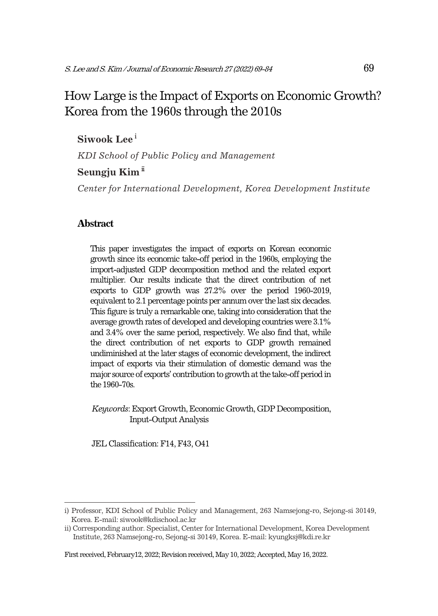# How Large is the Impact of Exports on Economic Growth? Korea from the 1960s through the 2010s

## **Siwook Lee**<sup>i</sup>

*KDI School of Public Policy and Management* 

## Seungju Kim<sup>ii</sup>

*Center for International Development, Korea Development Institute* 

### **Abstract**

This paper investigates the impact of exports on Korean economic growth since its economic take-off period in the 1960s, employing the import-adjusted GDP decomposition method and the related export multiplier. Our results indicate that the direct contribution of net exports to GDP growth was 27.2% over the period 1960-2019, equivalent to 2.1 percentage points per annum over the last six decades. This figure is truly a remarkable one, taking into consideration that the average growth rates of developed and developing countries were 3.1% and 3.4% over the same period, respectively. We also find that, while the direct contribution of net exports to GDP growth remained undiminished at the later stages of economic development, the indirect impact of exports via their stimulation of domestic demand was the major source of exports' contribution to growth at the take-off period in the 1960-70s.

*Keywords*: Export Growth, Economic Growth, GDP Decomposition, Input-Output Analysis

JEL Classification: F14, F43, O41

First received, February12, 2022; Revision received, May 10, 2022; Accepted, May 16, 2022.

i) Professor, KDI School of Public Policy and Management, 263 Namsejong-ro, Sejong-si 30149, Korea. E-mail: siwook@kdischool.ac.kr

ii) Corresponding author. Specialist, Center for International Development, Korea Development Institute, 263 Namsejong-ro, Sejong-si 30149, Korea. E-mail: kyungksj@kdi.re.kr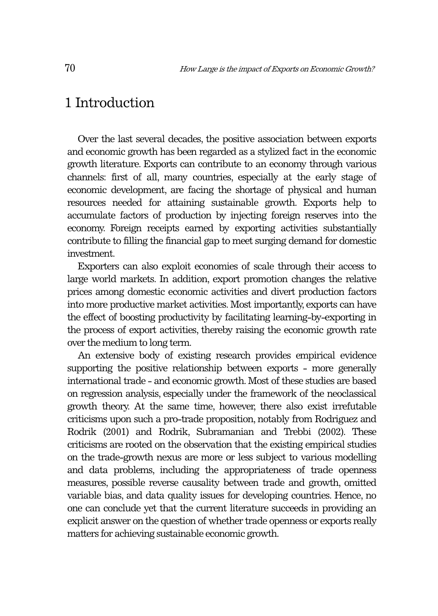# 1 Introduction

Over the last several decades, the positive association between exports and economic growth has been regarded as a stylized fact in the economic growth literature. Exports can contribute to an economy through various channels: first of all, many countries, especially at the early stage of economic development, are facing the shortage of physical and human resources needed for attaining sustainable growth. Exports help to accumulate factors of production by injecting foreign reserves into the economy. Foreign receipts earned by exporting activities substantially contribute to filling the financial gap to meet surging demand for domestic investment.

Exporters can also exploit economies of scale through their access to large world markets. In addition, export promotion changes the relative prices among domestic economic activities and divert production factors into more productive market activities. Most importantly, exports can have the effect of boosting productivity by facilitating learning-by-exporting in the process of export activities, thereby raising the economic growth rate over the medium to long term.

An extensive body of existing research provides empirical evidence supporting the positive relationship between exports - more generally international trade - and economic growth. Most of these studies are based on regression analysis, especially under the framework of the neoclassical growth theory. At the same time, however, there also exist irrefutable criticisms upon such a pro-trade proposition, notably from Rodriguez and Rodrik (2001) and Rodrik, Subramanian and Trebbi (2002). These criticisms are rooted on the observation that the existing empirical studies on the trade-growth nexus are more or less subject to various modelling and data problems, including the appropriateness of trade openness measures, possible reverse causality between trade and growth, omitted variable bias, and data quality issues for developing countries. Hence, no one can conclude yet that the current literature succeeds in providing an explicit answer on the question of whether trade openness or exports really matters for achieving sustainable economic growth.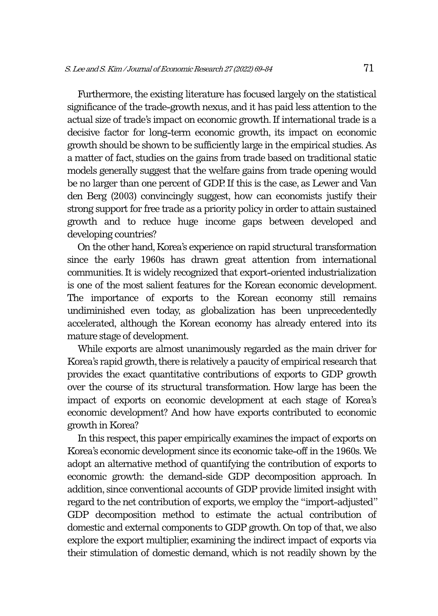Furthermore, the existing literature has focused largely on the statistical significance of the trade-growth nexus, and it has paid less attention to the actual size of trade's impact on economic growth. If international trade is a decisive factor for long-term economic growth, its impact on economic growth should be shown to be sufficiently large in the empirical studies. As a matter of fact, studies on the gains from trade based on traditional static models generally suggest that the welfare gains from trade opening would be no larger than one percent of GDP. If this is the case, as Lewer and Van den Berg (2003) convincingly suggest, how can economists justify their strong support for free trade as a priority policy in order to attain sustained growth and to reduce huge income gaps between developed and developing countries?

On the other hand, Korea's experience on rapid structural transformation since the early 1960s has drawn great attention from international communities. It is widely recognized that export-oriented industrialization is one of the most salient features for the Korean economic development. The importance of exports to the Korean economy still remains undiminished even today, as globalization has been unprecedentedly accelerated, although the Korean economy has already entered into its mature stage of development.

While exports are almost unanimously regarded as the main driver for Korea's rapid growth, there is relatively a paucity of empirical research that provides the exact quantitative contributions of exports to GDP growth over the course of its structural transformation. How large has been the impact of exports on economic development at each stage of Korea's economic development? And how have exports contributed to economic growth in Korea?

In this respect, this paper empirically examines the impact of exports on Korea's economic development since its economic take-off in the 1960s. We adopt an alternative method of quantifying the contribution of exports to economic growth: the demand-side GDP decomposition approach. In addition, since conventional accounts of GDP provide limited insight with regard to the net contribution of exports, we employ the "import-adjusted" GDP decomposition method to estimate the actual contribution of domestic and external components to GDP growth. On top of that, we also explore the export multiplier, examining the indirect impact of exports via their stimulation of domestic demand, which is not readily shown by the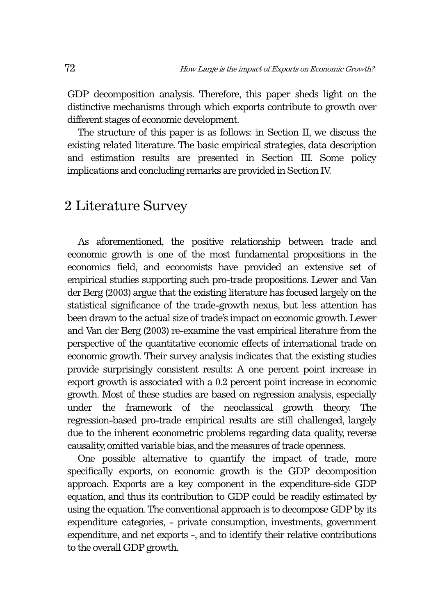GDP decomposition analysis. Therefore, this paper sheds light on the distinctive mechanisms through which exports contribute to growth over different stages of economic development.

The structure of this paper is as follows: in Section II, we discuss the existing related literature. The basic empirical strategies, data description and estimation results are presented in Section III. Some policy implications and concluding remarks are provided in Section IV.

# 2 Literature Survey

As aforementioned, the positive relationship between trade and economic growth is one of the most fundamental propositions in the economics field, and economists have provided an extensive set of empirical studies supporting such pro-trade propositions. Lewer and Van der Berg (2003) argue that the existing literature has focused largely on the statistical significance of the trade-growth nexus, but less attention has been drawn to the actual size of trade's impact on economic growth. Lewer and Van der Berg (2003) re-examine the vast empirical literature from the perspective of the quantitative economic effects of international trade on economic growth. Their survey analysis indicates that the existing studies provide surprisingly consistent results: A one percent point increase in export growth is associated with a 0.2 percent point increase in economic growth. Most of these studies are based on regression analysis, especially under the framework of the neoclassical growth theory. The regression-based pro-trade empirical results are still challenged, largely due to the inherent econometric problems regarding data quality, reverse causality, omitted variable bias, and the measures of trade openness.

One possible alternative to quantify the impact of trade, more specifically exports, on economic growth is the GDP decomposition approach. Exports are a key component in the expenditure-side GDP equation, and thus its contribution to GDP could be readily estimated by using the equation. The conventional approach is to decompose GDP by its expenditure categories, - private consumption, investments, government expenditure, and net exports -, and to identify their relative contributions to the overall GDP growth.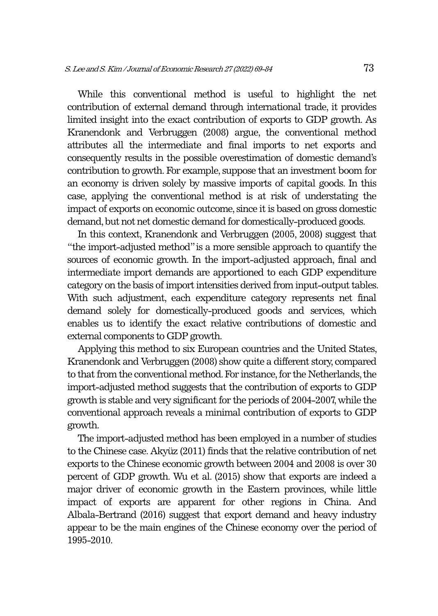While this conventional method is useful to highlight the net contribution of external demand through international trade, it provides limited insight into the exact contribution of exports to GDP growth. As Kranendonk and Verbruggen (2008) argue, the conventional method attributes all the intermediate and final imports to net exports and consequently results in the possible overestimation of domestic demand's contribution to growth. For example, suppose that an investment boom for an economy is driven solely by massive imports of capital goods. In this case, applying the conventional method is at risk of understating the impact of exports on economic outcome, since it is based on gross domestic demand, but not net domestic demand for domestically-produced goods.

In this context, Kranendonk and Verbruggen (2005, 2008) suggest that "the import-adjusted method" is a more sensible approach to quantify the sources of economic growth. In the import-adjusted approach, final and intermediate import demands are apportioned to each GDP expenditure category on the basis of import intensities derived from input-output tables. With such adjustment, each expenditure category represents net final demand solely for domestically-produced goods and services, which enables us to identify the exact relative contributions of domestic and external components to GDP growth.

Applying this method to six European countries and the United States, Kranendonk and Verbruggen (2008) show quite a different story, compared to that from the conventional method. For instance, for the Netherlands, the import-adjusted method suggests that the contribution of exports to GDP growth is stable and very significant for the periods of 2004-2007, while the conventional approach reveals a minimal contribution of exports to GDP growth.

The import-adjusted method has been employed in a number of studies to the Chinese case. Akyüz (2011) finds that the relative contribution of net exports to the Chinese economic growth between 2004 and 2008 is over 30 percent of GDP growth. Wu et al. (2015) show that exports are indeed a major driver of economic growth in the Eastern provinces, while little impact of exports are apparent for other regions in China. And Albala-Bertrand (2016) suggest that export demand and heavy industry appear to be the main engines of the Chinese economy over the period of 1995-2010.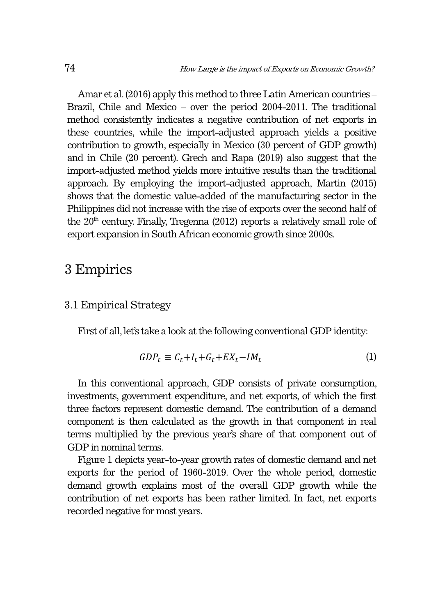Amar et al. (2016) apply this method to three Latin American countries – Brazil, Chile and Mexico – over the period 2004-2011. The traditional method consistently indicates a negative contribution of net exports in these countries, while the import-adjusted approach yields a positive contribution to growth, especially in Mexico (30 percent of GDP growth) and in Chile (20 percent). Grech and Rapa (2019) also suggest that the import-adjusted method yields more intuitive results than the traditional approach. By employing the import-adjusted approach, Martin (2015) shows that the domestic value-added of the manufacturing sector in the Philippines did not increase with the rise of exports over the second half of the  $20<sup>th</sup>$  century. Finally, Tregenna (2012) reports a relatively small role of export expansion in South African economic growth since 2000s.

# 3 Empirics

### 3.1 Empirical Strategy

First of all, let's take a look at the following conventional GDP identity:

$$
GDP_t \equiv C_t + I_t + G_t + EX_t - IM_t \tag{1}
$$

In this conventional approach, GDP consists of private consumption, investments, government expenditure, and net exports, of which the first three factors represent domestic demand. The contribution of a demand component is then calculated as the growth in that component in real terms multiplied by the previous year's share of that component out of GDP in nominal terms.

Figure 1 depicts year-to-year growth rates of domestic demand and net exports for the period of 1960-2019. Over the whole period, domestic demand growth explains most of the overall GDP growth while the contribution of net exports has been rather limited. In fact, net exports recorded negative for most years.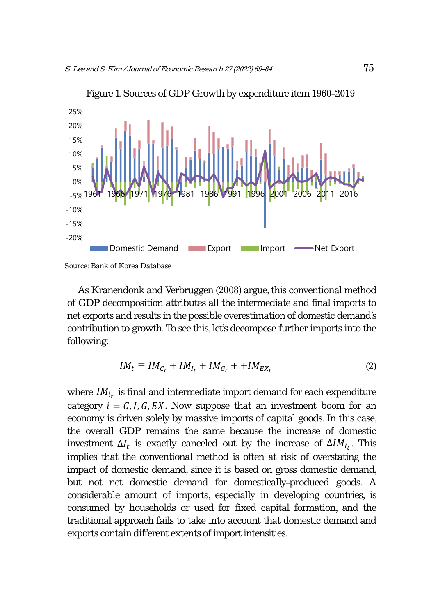

Figure 1. Sources of GDP Growth by expenditure item 1960-2019

As Kranendonk and Verbruggen (2008) argue, this conventional method of GDP decomposition attributes all the intermediate and final imports to net exports and results in the possible overestimation of domestic demand's contribution to growth. To see this, let's decompose further imports into the following:

$$
IM_t \equiv IM_{C_t} + IM_{I_t} + IM_{G_t} + + IM_{EX_t}
$$
\n<sup>(2)</sup>

where  $IM_{i_t}$  is final and intermediate import demand for each expenditure category  $i = C, I, G, EX$ . Now suppose that an investment boom for an economy is driven solely by massive imports of capital goods. In this case, the overall GDP remains the same because the increase of domestic investment  $\Delta I_t$  is exactly canceled out by the increase of  $\Delta I M_{I_t}$ . This implies that the conventional method is often at risk of overstating the impact of domestic demand, since it is based on gross domestic demand, but not net domestic demand for domestically-produced goods. A considerable amount of imports, especially in developing countries, is consumed by households or used for fixed capital formation, and the traditional approach fails to take into account that domestic demand and exports contain different extents of import intensities.

Source: Bank of Korea Database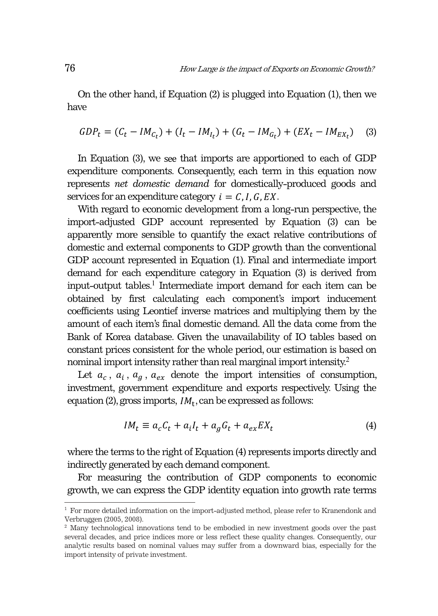On the other hand, if Equation (2) is plugged into Equation (1), then we have

$$
GDP_t = (C_t - IM_{C_t}) + (I_t - IM_{I_t}) + (G_t - IM_{G_t}) + (EX_t - IM_{EX_t})
$$
 (3)

In Equation (3), we see that imports are apportioned to each of GDP expenditure components. Consequently, each term in this equation now represents *net domestic demand* for domestically-produced goods and services for an expenditure category  $i = C, I, G, EX$ .

With regard to economic development from a long-run perspective, the import-adjusted GDP account represented by Equation (3) can be apparently more sensible to quantify the exact relative contributions of domestic and external components to GDP growth than the conventional GDP account represented in Equation (1). Final and intermediate import demand for each expenditure category in Equation (3) is derived from input-output tables.<sup>1</sup> Intermediate import demand for each item can be obtained by first calculating each component's import inducement coefficients using Leontief inverse matrices and multiplying them by the amount of each item's final domestic demand. All the data come from the Bank of Korea database. Given the unavailability of IO tables based on constant prices consistent for the whole period, our estimation is based on nominal import intensity rather than real marginal import intensity.<sup>2</sup>

Let  $a_c$ ,  $a_i$ ,  $a_g$ ,  $a_{ex}$  denote the import intensities of consumption, investment, government expenditure and exports respectively. Using the equation (2), gross imports,  $IM_t$ , can be expressed as follows:

$$
IM_t \equiv a_c C_t + a_i I_t + a_g G_t + a_{ex} E X_t \tag{4}
$$

where the terms to the right of Equation (4) represents imports directly and indirectly generated by each demand component.

For measuring the contribution of GDP components to economic growth, we can express the GDP identity equation into growth rate terms

<sup>&</sup>lt;sup>1</sup> For more detailed information on the import-adjusted method, please refer to Kranendonk and Verbruggen (2005, 2008).

<sup>2</sup> Many technological innovations tend to be embodied in new investment goods over the past several decades, and price indices more or less reflect these quality changes. Consequently, our analytic results based on nominal values may suffer from a downward bias, especially for the import intensity of private investment.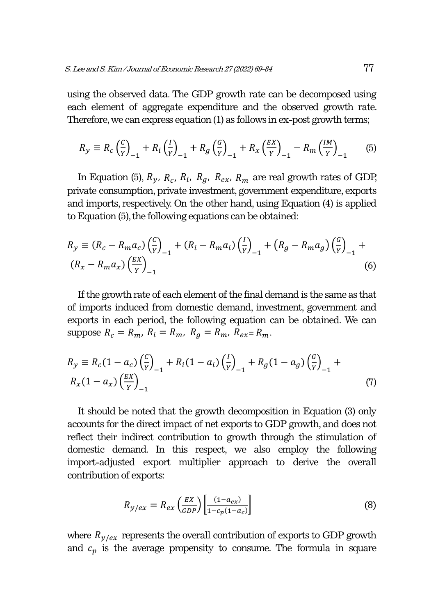using the observed data. The GDP growth rate can be decomposed using each element of aggregate expenditure and the observed growth rate. Therefore, we can express equation (1) as follows in ex-post growth terms;

$$
R_{y} \equiv R_{c} \left(\frac{c}{Y}\right)_{-1} + R_{i} \left(\frac{I}{Y}\right)_{-1} + R_{g} \left(\frac{c}{Y}\right)_{-1} + R_{x} \left(\frac{EX}{Y}\right)_{-1} - R_{m} \left(\frac{IM}{Y}\right)_{-1}
$$
(5)

In Equation (5),  $R_y$ ,  $R_c$ ,  $R_i$ ,  $R_g$ ,  $R_{ex}$ ,  $R_m$  are real growth rates of GDP, private consumption, private investment, government expenditure, exports and imports, respectively. On the other hand, using Equation (4) is applied to Equation (5), the following equations can be obtained:

$$
R_{y} \equiv (R_{c} - R_{m}a_{c}) \left(\frac{c}{y}\right)_{-1} + (R_{i} - R_{m}a_{i}) \left(\frac{I}{y}\right)_{-1} + (R_{g} - R_{m}a_{g}) \left(\frac{c}{y}\right)_{-1} + (R_{x} - R_{m}a_{x}) \left(\frac{EX}{y}\right)_{-1}
$$
\n(6)

If the growth rate of each element of the final demand is the same as that of imports induced from domestic demand, investment, government and exports in each period, the following equation can be obtained. We can suppose  $R_c = R_m$ ,  $R_i = R_m$ ,  $R_g = R_m$ ,  $R_{ex} = R_m$ .

$$
R_{y} \equiv R_{c}(1 - a_{c}) \left(\frac{c}{y}\right)_{-1} + R_{i}(1 - a_{i}) \left(\frac{I}{y}\right)_{-1} + R_{g}(1 - a_{g}) \left(\frac{c}{y}\right)_{-1} + R_{x}(1 - a_{x}) \left(\frac{EX}{Y}\right)_{-1}
$$
\n(7)

It should be noted that the growth decomposition in Equation (3) only accounts for the direct impact of net exports to GDP growth, and does not reflect their indirect contribution to growth through the stimulation of domestic demand. In this respect, we also employ the following import-adjusted export multiplier approach to derive the overall contribution of exports:

$$
R_{y/ex} = R_{ex} \left(\frac{EX}{GDP}\right) \left[\frac{(1 - a_{ex})}{1 - c_p(1 - a_c)}\right]
$$
(8)

where  $R_{y/ex}$  represents the overall contribution of exports to GDP growth and  $c_p$  is the average propensity to consume. The formula in square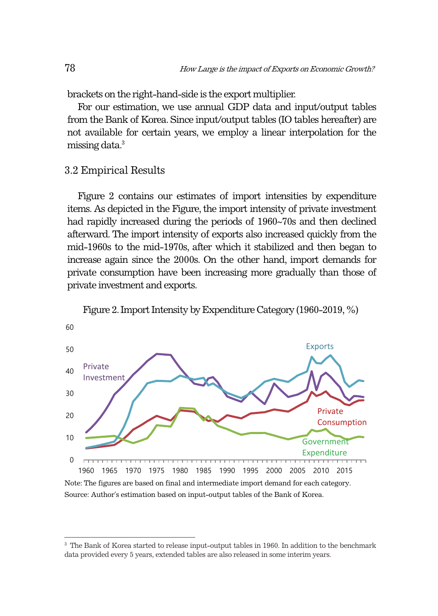brackets on the right-hand-side is the export multiplier.

For our estimation, we use annual GDP data and input/output tables from the Bank of Korea. Since input/output tables (IO tables hereafter) are not available for certain years, we employ a linear interpolation for the missing data.3

### 3.2 Empirical Results

Figure 2 contains our estimates of import intensities by expenditure items. As depicted in the Figure, the import intensity of private investment had rapidly increased during the periods of 1960~70s and then declined afterward. The import intensity of exports also increased quickly from the mid-1960s to the mid-1970s, after which it stabilized and then began to increase again since the 2000s. On the other hand, import demands for private consumption have been increasing more gradually than those of private investment and exports.



Figure 2. Import Intensity by Expenditure Category (1960-2019, %)

Note: The figures are based on final and intermediate import demand for each category. Source: Author's estimation based on input-output tables of the Bank of Korea.

<sup>&</sup>lt;sup>3</sup> The Bank of Korea started to release input-output tables in 1960. In addition to the benchmark data provided every 5 years, extended tables are also released in some interim years.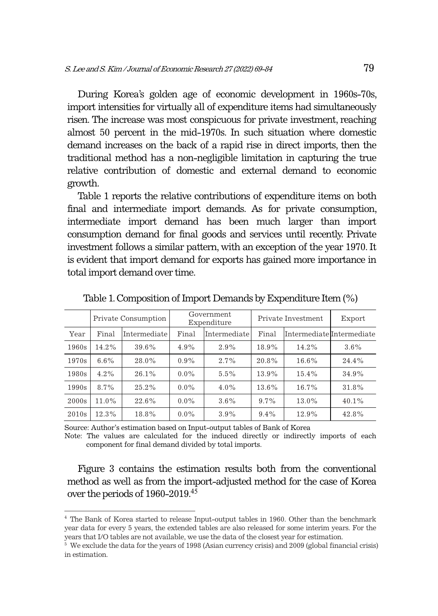During Korea's golden age of economic development in 1960s-70s, import intensities for virtually all of expenditure items had simultaneously risen. The increase was most conspicuous for private investment, reaching almost 50 percent in the mid-1970s. In such situation where domestic demand increases on the back of a rapid rise in direct imports, then the traditional method has a non-negligible limitation in capturing the true relative contribution of domestic and external demand to economic growth.

Table 1 reports the relative contributions of expenditure items on both final and intermediate import demands. As for private consumption, intermediate import demand has been much larger than import consumption demand for final goods and services until recently. Private investment follows a similar pattern, with an exception of the year 1970. It is evident that import demand for exports has gained more importance in total import demand over time.

|       | Private Consumption |              | Government<br>Expenditure |              | Private Investment |                           | Export  |
|-------|---------------------|--------------|---------------------------|--------------|--------------------|---------------------------|---------|
| Year  | Final               | Intermediate | Final                     | Intermediate | Final              | Intermediate Intermediate |         |
| 1960s | 14.2%               | 39.6%        | $4.9\%$                   | 2.9%         | 18.9%              | 14.2%                     | $3.6\%$ |
| 1970s | $6.6\%$             | 28.0%        | $0.9\%$                   | 2.7%         | 20.8%              | 16.6%                     | 24.4%   |
| 1980s | 4.2%                | 26.1%        | $0.0\%$                   | 5.5%         | 13.9%              | 15.4%                     | 34.9%   |
| 1990s | 8.7%                | $25.2\%$     | $0.0\%$                   | $4.0\%$      | 13.6%              | 16.7%                     | 31.8%   |
| 2000s | 11.0%               | 22.6%        | $0.0\%$                   | $3.6\%$      | $9.7\%$            | 13.0%                     | 40.1%   |
| 2010s | 12.3%               | 18.8%        | $0.0\%$                   | 3.9%         | $9.4\%$            | 12.9%                     | 42.8%   |

Table 1. Composition of Import Demands by Expenditure Item (%)

Source: Author's estimation based on Input-output tables of Bank of Korea

Note: The values are calculated for the induced directly or indirectly imports of each component for final demand divided by total imports.

Figure 3 contains the estimation results both from the conventional method as well as from the import-adjusted method for the case of Korea over the periods of 1960-2019.<sup>45</sup>

<sup>4</sup> The Bank of Korea started to release Input-output tables in 1960. Other than the benchmark year data for every 5 years, the extended tables are also released for some interim years. For the years that I/O tables are not available, we use the data of the closest year for estimation. 5

 $\frac{1}{6}$  We exclude the data for the years of 1998 (Asian currency crisis) and 2009 (global financial crisis) in estimation.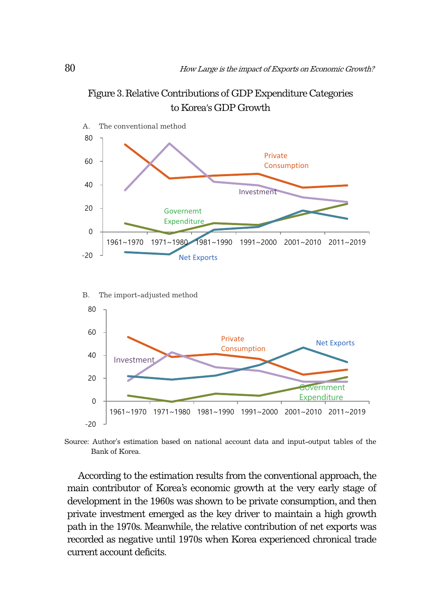



Source: Author's estimation based on national account data and input-output tables of the Bank of Korea.

According to the estimation results from the conventional approach, the main contributor of Korea's economic growth at the very early stage of development in the 1960s was shown to be private consumption, and then private investment emerged as the key driver to maintain a high growth path in the 1970s. Meanwhile, the relative contribution of net exports was recorded as negative until 1970s when Korea experienced chronical trade current account deficits.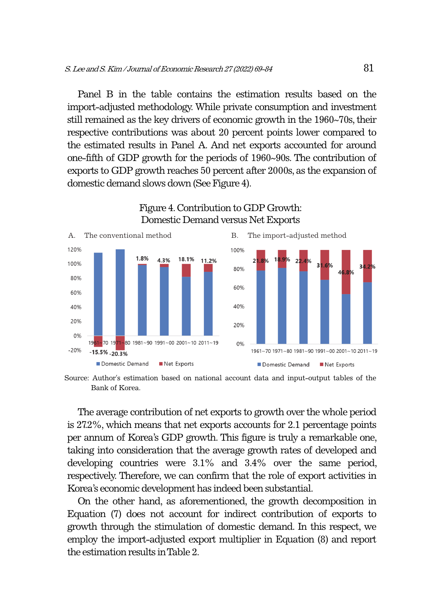Panel B in the table contains the estimation results based on the import-adjusted methodology. While private consumption and investment still remained as the key drivers of economic growth in the 1960~70s, their respective contributions was about 20 percent points lower compared to the estimated results in Panel A. And net exports accounted for around one-fifth of GDP growth for the periods of 1960~90s. The contribution of exports to GDP growth reaches 50 percent after 2000s, as the expansion of domestic demand slows down (See Figure 4).



#### Figure 4. Contribution to GDP Growth: Domestic Demand versus Net Exports

Bank of Korea.

The average contribution of net exports to growth over the whole period is 27.2%, which means that net exports accounts for 2.1 percentage points per annum of Korea's GDP growth. This figure is truly a remarkable one, taking into consideration that the average growth rates of developed and developing countries were 3.1% and 3.4% over the same period, respectively. Therefore, we can confirm that the role of export activities in Korea's economic development has indeed been substantial.

On the other hand, as aforementioned, the growth decomposition in Equation (7) does not account for indirect contribution of exports to growth through the stimulation of domestic demand. In this respect, we employ the import-adjusted export multiplier in Equation (8) and report the estimation results in Table 2.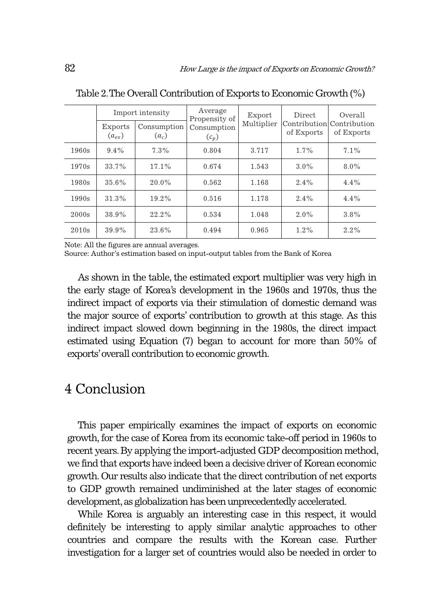|       | <b>Exports</b><br>$(a_{ex})$ | Import intensity<br>Consumption<br>$(a_c)$ | Average<br>Propensity of<br>Consumption<br>$(c_p)$ | Export<br>Multiplier | <b>Direct</b><br>of Exports | Overall<br>Contribution Contribution<br>of Exports |
|-------|------------------------------|--------------------------------------------|----------------------------------------------------|----------------------|-----------------------------|----------------------------------------------------|
| 1960s | $9.4\%$                      | 7.3%                                       | 0.804                                              | 3.717                | 1.7%                        | 7.1%                                               |
| 1970s | 33.7%                        | 17.1%                                      | 0.674                                              | 1.543                | $3.0\%$                     | $8.0\%$                                            |
| 1980s | 35.6%                        | 20.0%                                      | 0.562                                              | 1.168                | 2.4%                        | 4.4%                                               |
| 1990s | 31.3%                        | $19.2\%$                                   | 0.516                                              | 1.178                | $2.4\%$                     | $4.4\%$                                            |
| 2000s | 38.9%                        | $22.2\%$                                   | 0.534                                              | 1.048                | $2.0\%$                     | 3.8%                                               |
| 2010s | 39.9%                        | 23.6%                                      | 0.494                                              | 0.965                | $1.2\%$                     | 2.2%                                               |

Table 2. The Overall Contribution of Exports to Economic Growth (%)

Note: All the figures are annual averages.

Source: Author's estimation based on input-output tables from the Bank of Korea

As shown in the table, the estimated export multiplier was very high in the early stage of Korea's development in the 1960s and 1970s, thus the indirect impact of exports via their stimulation of domestic demand was the major source of exports' contribution to growth at this stage. As this indirect impact slowed down beginning in the 1980s, the direct impact estimated using Equation (7) began to account for more than 50% of exports' overall contribution to economic growth.

# 4 Conclusion

This paper empirically examines the impact of exports on economic growth, for the case of Korea from its economic take-off period in 1960s to recent years. By applying the import-adjusted GDP decomposition method, we find that exports have indeed been a decisive driver of Korean economic growth. Our results also indicate that the direct contribution of net exports to GDP growth remained undiminished at the later stages of economic development, as globalization has been unprecedentedly accelerated.

While Korea is arguably an interesting case in this respect, it would definitely be interesting to apply similar analytic approaches to other countries and compare the results with the Korean case. Further investigation for a larger set of countries would also be needed in order to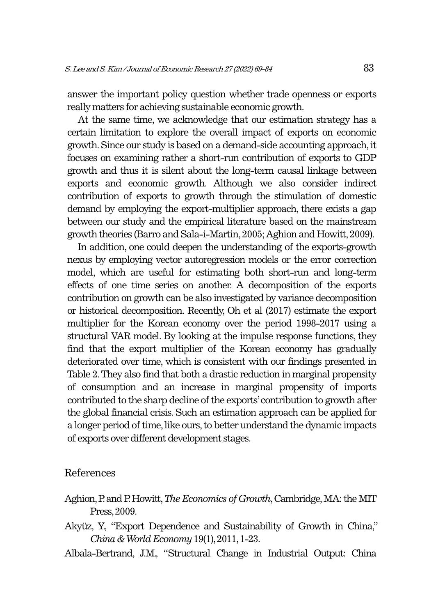answer the important policy question whether trade openness or exports really matters for achieving sustainable economic growth.

At the same time, we acknowledge that our estimation strategy has a certain limitation to explore the overall impact of exports on economic growth. Since our study is based on a demand-side accounting approach, it focuses on examining rather a short-run contribution of exports to GDP growth and thus it is silent about the long-term causal linkage between exports and economic growth. Although we also consider indirect contribution of exports to growth through the stimulation of domestic demand by employing the export-multiplier approach, there exists a gap between our study and the empirical literature based on the mainstream growth theories (Barro and Sala-i-Martin, 2005; Aghion and Howitt, 2009).

In addition, one could deepen the understanding of the exports-growth nexus by employing vector autoregression models or the error correction model, which are useful for estimating both short-run and long-term effects of one time series on another. A decomposition of the exports contribution on growth can be also investigated by variance decomposition or historical decomposition. Recently, Oh et al (2017) estimate the export multiplier for the Korean economy over the period 1998-2017 using a structural VAR model. By looking at the impulse response functions, they find that the export multiplier of the Korean economy has gradually deteriorated over time, which is consistent with our findings presented in Table 2. They also find that both a drastic reduction in marginal propensity of consumption and an increase in marginal propensity of imports contributed to the sharp decline of the exports' contribution to growth after the global financial crisis. Such an estimation approach can be applied for a longer period of time, like ours, to better understand the dynamic impacts of exports over different development stages.

#### References

- Aghion, P. and P. Howitt, *The Economics of Growth*, Cambridge, MA: the MIT Press, 2009.
- Akyüz, Y., "Export Dependence and Sustainability of Growth in China," *China & World Economy* 19(1), 2011, 1-23.
- Albala-Bertrand, J.M., "Structural Change in Industrial Output: China